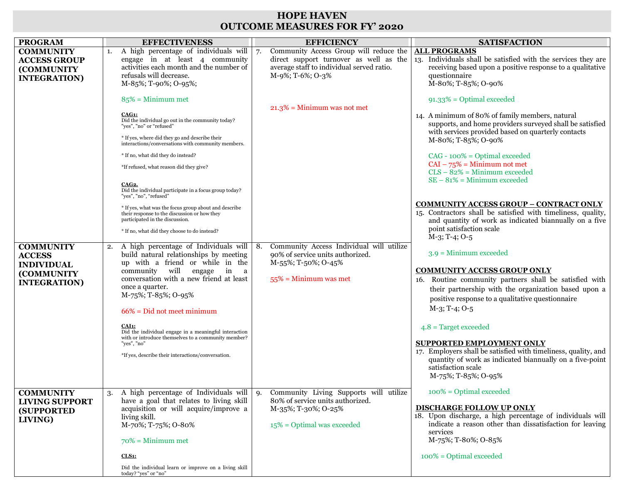## **HOPE HAVEN OUTCOME MEASURES FOR FY' 2020**

| Community Access Group will reduce the<br><b>COMMUNITY</b><br>A high percentage of individuals will<br><b>ALL PROGRAMS</b><br>1.<br>7.<br>direct support turnover as well as the<br>13. Individuals shall be satisfied with the services they are<br>engage in at least 4 community<br><b>ACCESS GROUP</b><br>activities each month and the number of<br>average staff to individual served ratio.<br><b>(COMMUNITY)</b><br>refusals will decrease.<br>M-9%; T-6%; O-3%<br>questionnaire<br><b>INTEGRATION</b> )<br>M-85%; T-90%; O-95%;<br>M-80%; T-85%; O-90%<br>$85\%$ = Minimum met<br>$91.33\%$ = Optimal exceeded<br>$21.3\%$ = Minimum was not met<br>CAG1:<br>14. A minimum of 80% of family members, natural<br>Did the individual go out in the community today?<br>"yes", "no" or "refused"<br>* If yes, where did they go and describe their<br>M-80%; T-85%; O-90%<br>interactions/conversations with community members.<br>* If no, what did they do instead?<br>$CAG - 100\% = Optimal exceeded$<br>$CAI - 75% = Minimum not met$<br>*If refused, what reason did they give?<br>$CLS - 82% = Minimum exceeded$<br>$SE - 81\% = Minimum exceeded$<br><b>CAG2.</b><br>Did the individual participate in a focus group today?<br>"yes", "no", "refused"<br>* If yes, what was the focus group about and describe<br>their response to the discussion or how they<br>participated in the discussion.<br>point satisfaction scale<br>* If no, what did they choose to do instead?<br>$M-3$ ; T-4; O-5<br>Community Access Individual will utilize<br><b>COMMUNITY</b><br>A high percentage of Individuals will   8.<br>2.<br>$3.9 =$ Minimum exceeded<br>build natural relationships by meeting<br>90% of service units authorized.<br><b>ACCESS</b><br>up with a friend or while in the<br>M-55%; T-50%; O-45%<br><b>INDIVIDUAL</b><br><b>COMMUNITY ACCESS GROUP ONLY</b><br>community will<br>engage<br>in<br>a<br>(COMMUNITY<br>conversation with a new friend at least<br>$55\%$ = Minimum was met<br><b>INTEGRATION)</b><br>once a quarter.<br>M-75%; T-85%; O-95%<br>positive response to a qualitative questionnaire<br>$M-3$ ; T-4; O-5<br>$66\%$ = Did not meet minimum | <b>PROGRAM</b> | <b>EFFECTIVENESS</b> | <b>EFFICIENCY</b> | <b>SATISFACTION</b>                                                                                                                                                     |
|--------------------------------------------------------------------------------------------------------------------------------------------------------------------------------------------------------------------------------------------------------------------------------------------------------------------------------------------------------------------------------------------------------------------------------------------------------------------------------------------------------------------------------------------------------------------------------------------------------------------------------------------------------------------------------------------------------------------------------------------------------------------------------------------------------------------------------------------------------------------------------------------------------------------------------------------------------------------------------------------------------------------------------------------------------------------------------------------------------------------------------------------------------------------------------------------------------------------------------------------------------------------------------------------------------------------------------------------------------------------------------------------------------------------------------------------------------------------------------------------------------------------------------------------------------------------------------------------------------------------------------------------------------------------------------------------------------------------------------------------------------------------------------------------------------------------------------------------------------------------------------------------------------------------------------------------------------------------------------------------------------------------------------------------------------------------------------------------------------------------------------------------------------------------------------------------|----------------|----------------------|-------------------|-------------------------------------------------------------------------------------------------------------------------------------------------------------------------|
|                                                                                                                                                                                                                                                                                                                                                                                                                                                                                                                                                                                                                                                                                                                                                                                                                                                                                                                                                                                                                                                                                                                                                                                                                                                                                                                                                                                                                                                                                                                                                                                                                                                                                                                                                                                                                                                                                                                                                                                                                                                                                                                                                                                            |                |                      |                   |                                                                                                                                                                         |
|                                                                                                                                                                                                                                                                                                                                                                                                                                                                                                                                                                                                                                                                                                                                                                                                                                                                                                                                                                                                                                                                                                                                                                                                                                                                                                                                                                                                                                                                                                                                                                                                                                                                                                                                                                                                                                                                                                                                                                                                                                                                                                                                                                                            |                |                      |                   | receiving based upon a positive response to a qualitative                                                                                                               |
|                                                                                                                                                                                                                                                                                                                                                                                                                                                                                                                                                                                                                                                                                                                                                                                                                                                                                                                                                                                                                                                                                                                                                                                                                                                                                                                                                                                                                                                                                                                                                                                                                                                                                                                                                                                                                                                                                                                                                                                                                                                                                                                                                                                            |                |                      |                   |                                                                                                                                                                         |
|                                                                                                                                                                                                                                                                                                                                                                                                                                                                                                                                                                                                                                                                                                                                                                                                                                                                                                                                                                                                                                                                                                                                                                                                                                                                                                                                                                                                                                                                                                                                                                                                                                                                                                                                                                                                                                                                                                                                                                                                                                                                                                                                                                                            |                |                      |                   | supports, and home providers surveyed shall be satisfied<br>with services provided based on quarterly contacts                                                          |
|                                                                                                                                                                                                                                                                                                                                                                                                                                                                                                                                                                                                                                                                                                                                                                                                                                                                                                                                                                                                                                                                                                                                                                                                                                                                                                                                                                                                                                                                                                                                                                                                                                                                                                                                                                                                                                                                                                                                                                                                                                                                                                                                                                                            |                |                      |                   |                                                                                                                                                                         |
|                                                                                                                                                                                                                                                                                                                                                                                                                                                                                                                                                                                                                                                                                                                                                                                                                                                                                                                                                                                                                                                                                                                                                                                                                                                                                                                                                                                                                                                                                                                                                                                                                                                                                                                                                                                                                                                                                                                                                                                                                                                                                                                                                                                            |                |                      |                   |                                                                                                                                                                         |
|                                                                                                                                                                                                                                                                                                                                                                                                                                                                                                                                                                                                                                                                                                                                                                                                                                                                                                                                                                                                                                                                                                                                                                                                                                                                                                                                                                                                                                                                                                                                                                                                                                                                                                                                                                                                                                                                                                                                                                                                                                                                                                                                                                                            |                |                      |                   |                                                                                                                                                                         |
|                                                                                                                                                                                                                                                                                                                                                                                                                                                                                                                                                                                                                                                                                                                                                                                                                                                                                                                                                                                                                                                                                                                                                                                                                                                                                                                                                                                                                                                                                                                                                                                                                                                                                                                                                                                                                                                                                                                                                                                                                                                                                                                                                                                            |                |                      |                   |                                                                                                                                                                         |
|                                                                                                                                                                                                                                                                                                                                                                                                                                                                                                                                                                                                                                                                                                                                                                                                                                                                                                                                                                                                                                                                                                                                                                                                                                                                                                                                                                                                                                                                                                                                                                                                                                                                                                                                                                                                                                                                                                                                                                                                                                                                                                                                                                                            |                |                      |                   | <b>COMMUNITY ACCESS GROUP - CONTRACT ONLY</b><br>15. Contractors shall be satisfied with timeliness, quality,<br>and quantity of work as indicated biannually on a five |
|                                                                                                                                                                                                                                                                                                                                                                                                                                                                                                                                                                                                                                                                                                                                                                                                                                                                                                                                                                                                                                                                                                                                                                                                                                                                                                                                                                                                                                                                                                                                                                                                                                                                                                                                                                                                                                                                                                                                                                                                                                                                                                                                                                                            |                |                      |                   |                                                                                                                                                                         |
|                                                                                                                                                                                                                                                                                                                                                                                                                                                                                                                                                                                                                                                                                                                                                                                                                                                                                                                                                                                                                                                                                                                                                                                                                                                                                                                                                                                                                                                                                                                                                                                                                                                                                                                                                                                                                                                                                                                                                                                                                                                                                                                                                                                            |                |                      |                   |                                                                                                                                                                         |
|                                                                                                                                                                                                                                                                                                                                                                                                                                                                                                                                                                                                                                                                                                                                                                                                                                                                                                                                                                                                                                                                                                                                                                                                                                                                                                                                                                                                                                                                                                                                                                                                                                                                                                                                                                                                                                                                                                                                                                                                                                                                                                                                                                                            |                |                      |                   |                                                                                                                                                                         |
|                                                                                                                                                                                                                                                                                                                                                                                                                                                                                                                                                                                                                                                                                                                                                                                                                                                                                                                                                                                                                                                                                                                                                                                                                                                                                                                                                                                                                                                                                                                                                                                                                                                                                                                                                                                                                                                                                                                                                                                                                                                                                                                                                                                            |                |                      |                   | 16. Routine community partners shall be satisfied with<br>their partnership with the organization based upon a                                                          |
|                                                                                                                                                                                                                                                                                                                                                                                                                                                                                                                                                                                                                                                                                                                                                                                                                                                                                                                                                                                                                                                                                                                                                                                                                                                                                                                                                                                                                                                                                                                                                                                                                                                                                                                                                                                                                                                                                                                                                                                                                                                                                                                                                                                            |                |                      |                   |                                                                                                                                                                         |
|                                                                                                                                                                                                                                                                                                                                                                                                                                                                                                                                                                                                                                                                                                                                                                                                                                                                                                                                                                                                                                                                                                                                                                                                                                                                                                                                                                                                                                                                                                                                                                                                                                                                                                                                                                                                                                                                                                                                                                                                                                                                                                                                                                                            |                |                      |                   |                                                                                                                                                                         |
| <b>CAI1:</b><br>$4.8$ = Target exceeded<br>Did the individual engage in a meaningful interaction<br>with or introduce themselves to a community member?                                                                                                                                                                                                                                                                                                                                                                                                                                                                                                                                                                                                                                                                                                                                                                                                                                                                                                                                                                                                                                                                                                                                                                                                                                                                                                                                                                                                                                                                                                                                                                                                                                                                                                                                                                                                                                                                                                                                                                                                                                    |                |                      |                   |                                                                                                                                                                         |
| <b>SUPPORTED EMPLOYMENT ONLY</b><br>"yes", "no"<br>*If yes, describe their interactions/conversation.                                                                                                                                                                                                                                                                                                                                                                                                                                                                                                                                                                                                                                                                                                                                                                                                                                                                                                                                                                                                                                                                                                                                                                                                                                                                                                                                                                                                                                                                                                                                                                                                                                                                                                                                                                                                                                                                                                                                                                                                                                                                                      |                |                      |                   | 17. Employers shall be satisfied with timeliness, quality, and                                                                                                          |
| satisfaction scale<br>M-75%; T-85%; O-95%                                                                                                                                                                                                                                                                                                                                                                                                                                                                                                                                                                                                                                                                                                                                                                                                                                                                                                                                                                                                                                                                                                                                                                                                                                                                                                                                                                                                                                                                                                                                                                                                                                                                                                                                                                                                                                                                                                                                                                                                                                                                                                                                                  |                |                      |                   | quantity of work as indicated biannually on a five-point                                                                                                                |
| $100\%$ = Optimal exceeded<br>A high percentage of Individuals will   9.<br>Community Living Supports will utilize<br><b>COMMUNITY</b><br>have a goal that relates to living skill<br>80% of service units authorized.                                                                                                                                                                                                                                                                                                                                                                                                                                                                                                                                                                                                                                                                                                                                                                                                                                                                                                                                                                                                                                                                                                                                                                                                                                                                                                                                                                                                                                                                                                                                                                                                                                                                                                                                                                                                                                                                                                                                                                     |                |                      |                   |                                                                                                                                                                         |
| <b>LIVING SUPPORT</b><br>DISCHARGE FOLLOW UP ONLY<br>acquisition or will acquire/improve a<br>M-35%; T-30%; O-25%<br><b>(SUPPORTED)</b><br>living skill.<br>LIVING)                                                                                                                                                                                                                                                                                                                                                                                                                                                                                                                                                                                                                                                                                                                                                                                                                                                                                                                                                                                                                                                                                                                                                                                                                                                                                                                                                                                                                                                                                                                                                                                                                                                                                                                                                                                                                                                                                                                                                                                                                        |                |                      |                   | 18. Upon discharge, a high percentage of individuals will                                                                                                               |
| M-70%; T-75%; O-80%<br>$15\%$ = Optimal was exceeded<br>services<br>M-75%; T-80%; O-85%<br>$70\%$ = Minimum met                                                                                                                                                                                                                                                                                                                                                                                                                                                                                                                                                                                                                                                                                                                                                                                                                                                                                                                                                                                                                                                                                                                                                                                                                                                                                                                                                                                                                                                                                                                                                                                                                                                                                                                                                                                                                                                                                                                                                                                                                                                                            |                |                      |                   | indicate a reason other than dissatisfaction for leaving                                                                                                                |
| $100\%$ = Optimal exceeded<br><b>CLS1:</b>                                                                                                                                                                                                                                                                                                                                                                                                                                                                                                                                                                                                                                                                                                                                                                                                                                                                                                                                                                                                                                                                                                                                                                                                                                                                                                                                                                                                                                                                                                                                                                                                                                                                                                                                                                                                                                                                                                                                                                                                                                                                                                                                                 |                |                      |                   |                                                                                                                                                                         |
| Did the individual learn or improve on a living skill<br>today? "yes" or "no"                                                                                                                                                                                                                                                                                                                                                                                                                                                                                                                                                                                                                                                                                                                                                                                                                                                                                                                                                                                                                                                                                                                                                                                                                                                                                                                                                                                                                                                                                                                                                                                                                                                                                                                                                                                                                                                                                                                                                                                                                                                                                                              |                |                      |                   |                                                                                                                                                                         |